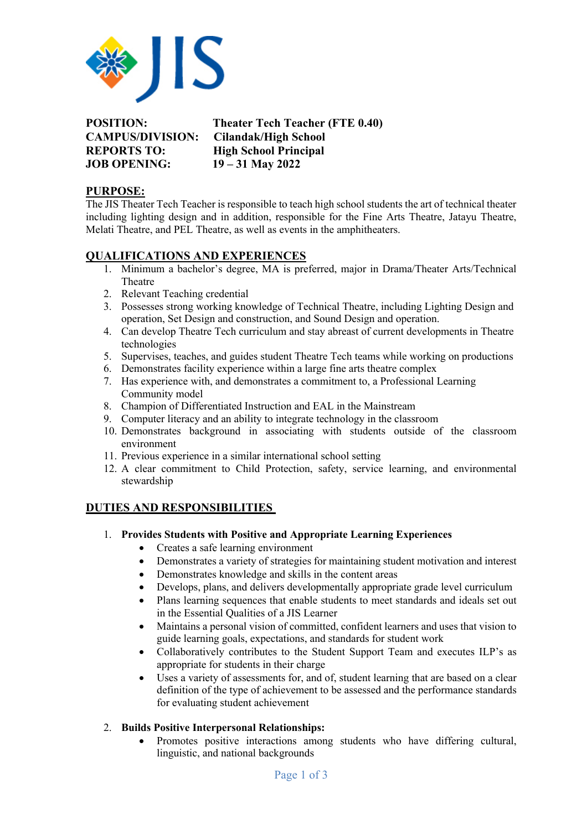

**JOB OPENING: 19 – 31 May 2022**

**POSITION: Theater Tech Teacher (FTE 0.40) CAMPUS/DIVISION: Cilandak/High School REPORTS TO: High School Principal**

## **PURPOSE:**

The JIS Theater Tech Teacher is responsible to teach high school students the art of technical theater including lighting design and in addition, responsible for the Fine Arts Theatre, Jatayu Theatre, Melati Theatre, and PEL Theatre, as well as events in the amphitheaters.

# **QUALIFICATIONS AND EXPERIENCES**

- 1. Minimum a bachelor's degree, MA is preferred, major in Drama/Theater Arts/Technical Theatre
- 2. Relevant Teaching credential
- 3. Possesses strong working knowledge of Technical Theatre, including Lighting Design and operation, Set Design and construction, and Sound Design and operation.
- 4. Can develop Theatre Tech curriculum and stay abreast of current developments in Theatre technologies
- 5. Supervises, teaches, and guides student Theatre Tech teams while working on productions
- 6. Demonstrates facility experience within a large fine arts theatre complex
- 7. Has experience with, and demonstrates a commitment to, a Professional Learning Community model
- 8. Champion of Differentiated Instruction and EAL in the Mainstream
- 9. Computer literacy and an ability to integrate technology in the classroom
- 10. Demonstrates background in associating with students outside of the classroom environment
- 11. Previous experience in a similar international school setting
- 12. A clear commitment to Child Protection, safety, service learning, and environmental stewardship

# **DUTIES AND RESPONSIBILITIES**

- 1. **Provides Students with Positive and Appropriate Learning Experiences**
	- Creates a safe learning environment
		- Demonstrates a variety of strategies for maintaining student motivation and interest
		- Demonstrates knowledge and skills in the content areas
		- Develops, plans, and delivers developmentally appropriate grade level curriculum
		- Plans learning sequences that enable students to meet standards and ideals set out in the Essential Qualities of a JIS Learner
		- Maintains a personal vision of committed, confident learners and uses that vision to guide learning goals, expectations, and standards for student work
		- Collaboratively contributes to the Student Support Team and executes ILP's as appropriate for students in their charge
		- Uses a variety of assessments for, and of, student learning that are based on a clear definition of the type of achievement to be assessed and the performance standards for evaluating student achievement

# 2. **Builds Positive Interpersonal Relationships:**

• Promotes positive interactions among students who have differing cultural, linguistic, and national backgrounds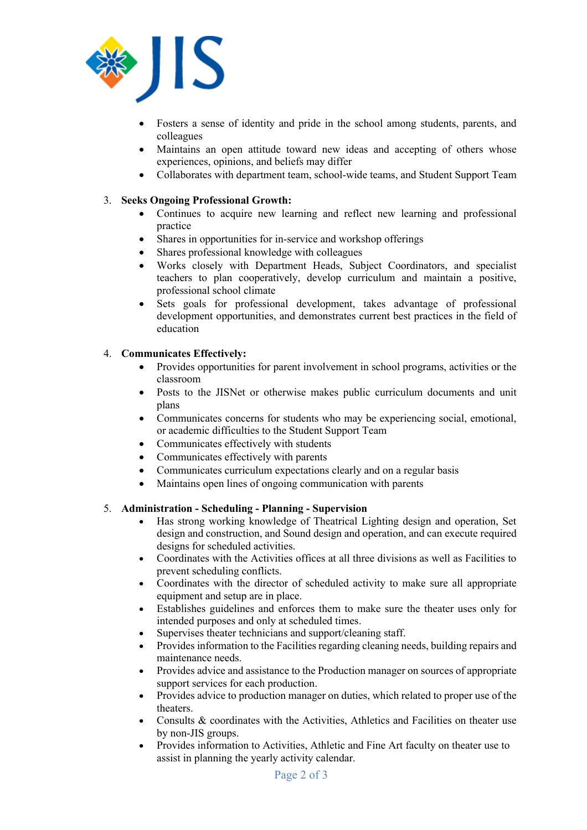

- Fosters a sense of identity and pride in the school among students, parents, and colleagues
- Maintains an open attitude toward new ideas and accepting of others whose experiences, opinions, and beliefs may differ
- Collaborates with department team, school-wide teams, and Student Support Team

### 3. **Seeks Ongoing Professional Growth:**

- Continues to acquire new learning and reflect new learning and professional practice
- Shares in opportunities for in-service and workshop offerings
- Shares professional knowledge with colleagues
- Works closely with Department Heads, Subject Coordinators, and specialist teachers to plan cooperatively, develop curriculum and maintain a positive, professional school climate
- Sets goals for professional development, takes advantage of professional development opportunities, and demonstrates current best practices in the field of education

### 4. **Communicates Effectively:**

- Provides opportunities for parent involvement in school programs, activities or the classroom
- Posts to the JISNet or otherwise makes public curriculum documents and unit plans
- Communicates concerns for students who may be experiencing social, emotional, or academic difficulties to the Student Support Team
- Communicates effectively with students
- Communicates effectively with parents
- Communicates curriculum expectations clearly and on a regular basis
- Maintains open lines of ongoing communication with parents

#### 5. **Administration - Scheduling - Planning - Supervision**

- Has strong working knowledge of Theatrical Lighting design and operation, Set design and construction, and Sound design and operation, and can execute required designs for scheduled activities.
- Coordinates with the Activities offices at all three divisions as well as Facilities to prevent scheduling conflicts.
- Coordinates with the director of scheduled activity to make sure all appropriate equipment and setup are in place.
- Establishes guidelines and enforces them to make sure the theater uses only for intended purposes and only at scheduled times.
- Supervises theater technicians and support/cleaning staff.
- Provides information to the Facilities regarding cleaning needs, building repairs and maintenance needs.
- Provides advice and assistance to the Production manager on sources of appropriate support services for each production.
- Provides advice to production manager on duties, which related to proper use of the theaters.
- Consults & coordinates with the Activities, Athletics and Facilities on theater use by non-JIS groups.
- Provides information to Activities, Athletic and Fine Art faculty on theater use to assist in planning the yearly activity calendar.